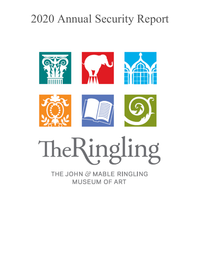# 2020 Annual Security Report



# TheRingling

THE JOHN & MABLE RINGLING **MUSEUM OF ART**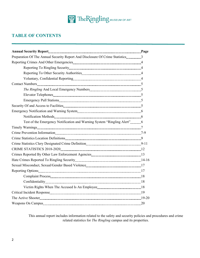

# **TABLE OF CONTENTS**

| Preparation Of The Annual Security Report And Disclosure Of Crime Statistics3 |  |
|-------------------------------------------------------------------------------|--|
|                                                                               |  |
|                                                                               |  |
|                                                                               |  |
|                                                                               |  |
|                                                                               |  |
|                                                                               |  |
|                                                                               |  |
|                                                                               |  |
|                                                                               |  |
|                                                                               |  |
|                                                                               |  |
| Test of the Emergency Notification and Warning System "Ringling Alert" 6      |  |
|                                                                               |  |
|                                                                               |  |
|                                                                               |  |
|                                                                               |  |
|                                                                               |  |
|                                                                               |  |
|                                                                               |  |
|                                                                               |  |
|                                                                               |  |
|                                                                               |  |
|                                                                               |  |
|                                                                               |  |
|                                                                               |  |
|                                                                               |  |
|                                                                               |  |

This annual report includes information related to the safety and security policies and procedures and crime related statistics for *The Ringling* campus and its properties.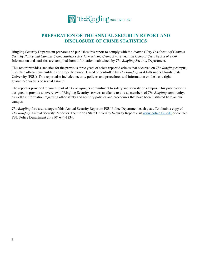

# **PREPARATION OF THE ANNUAL SECURITY REPORT AND DISCLOSURE OF CRIME STATISTICS**

Ringling Security Department prepares and publishes this report to comply with the *Jeanne Clery Disclosure of Campus Security Policy and Campus Crime Statistics Act, formerly the Crime Awareness and Campus Security Act of 1990.*  Information and statistics are compiled from information maintained by *The Ringling* Security Department.

This report provides statistics for the previous three years of select reported crimes that occurred on *The Ringling* campus, in certain off-campus buildings or property owned, leased or controlled by *The Ringling* as it falls under Florida State University (FSU). This report also includes security policies and procedures and information on the basic rights guaranteed victims of sexual assault.

The report is provided to you as part of *The Ringling*'s commitment to safety and security on campus. This publication is designed to provide an overview of Ringling Security services available to you as members of *The Ringling* community, as well as information regarding other safety and security policies and procedures that have been instituted here on our campus.

*The Ringling* forwards a copy of this Annual Security Report to FSU Police Department each year. To obtain a copy of *The Ringling* Annual Security Report or The Florida State University Security Report visit www.police.fsu.edu or contact FSU Police Department at (850) 644-1234.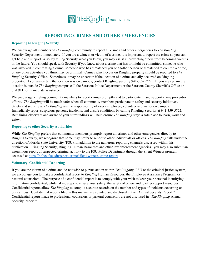

# **REPORTING CRIMES AND OTHER EMERGENCIES**

## **Reporting to Ringling Security**

We encourage all members of *The Ringling* community to report all crimes and other emergencies to *The Ringling* Security Department immediately. If you are a witness or victim of a crime, it is important to report the crime so you can get help and support. Also, by telling Security what you know, you may assist in preventing others from becoming victims in the future. You should speak with Security if you know about a crime that has or might be committed, someone who was involved in committing a crime, someone who has threatened you or another person or threatened to commit a crime, or any other activities you think may be criminal. Crimes which occur on Ringling property should be reported to *The Ringling* Security Office. Sometimes it may be uncertain if the location of a crime actually occurred on Ringling property. If you are certain the location was on campus, contact Ringling Security 941-359-5722 . If you are certain the location is outside *The Ringling* campus call the Sarasota Police Department or the Sarasota County Sherriff's Office or dial 911 for immediate assistance.

We encourage Ringling community members to report crimes promptly and to participate in and support crime prevention efforts. *The Ringling* will be much safer when all community members participate in safety and security initiatives. Safety and security at *The Ringling* are the responsibility of every employee, volunteer and visitor on campus. Immediately report suspicious persons, incidents, and unsafe conditions by calling Ringling Security at 941-359-5722. Remaining observant and aware of your surroundings will help ensure *The Ringling* stays a safe place to learn, work and enjoy.

#### **Reporting to other Security Authorities**

While *The Ringling* prefers that community members promptly report all crimes and other emergencies directly to Ringling Security, we recognize that some may prefer to report to other individuals or offices. *The Ringling* falls under the direction of Florida State University (FSU). In addition to the numerous reporting channels discussed within this publication – Ringling Security, Ringling Human Resources and other law enforcement agencies– you may also submit an anonymous report of suspected criminal activity to the FSU Police Department through the Silent Witness program accessed at https://police.fsu.edu/report-crime/silent-witness-crime-report .

## **Voluntary, Confidential Reporting**

If you are the victim of a crime and do not wish to pursue action within *The Ringling*, FSU or the criminal justice system, we encourage you to make a confidential report to *Ringling* Human Resources, the Employee Assistance Program, or pastoral counselors. The purpose of a confidential report is to comply with your wish to keep your personal identifying information confidential, while taking steps to ensure your safety, the safety of others and to offer support resources. Confidential reports allow *The Ringling* to compile accurate records on the number and types of incidents occurring on our campus. Confidential reports filed in this manner are counted and disclosed in the "Annual Security Report." Confidential reports made to professional counselors or pastoral counselors are not disclosed in "*The Ringling* Annual Security Report."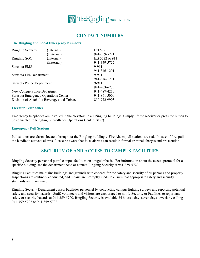

# **CONTACT NUMBERS**

## **The Ringling and Local Emergency Numbers:**

| <b>Ringling Security</b>             | (Internal)                                  | Ext 5721        |
|--------------------------------------|---------------------------------------------|-----------------|
|                                      | (External)                                  | 941-359-5721    |
| Ringling SOC                         | (Internal)                                  | Ext 5722 or 911 |
|                                      | (External)                                  | 941-359-5722    |
| Sarasota EMS                         |                                             | 9-911           |
|                                      |                                             | 941-316-1201    |
| Sarasota Fire Department             |                                             | 9-911           |
|                                      |                                             | 941-316-1201    |
| Sarasota Police Department           |                                             | 9-911           |
|                                      |                                             | 941-263-6773    |
| New College Police Department        |                                             | 941-487-4210    |
| Sarasota Emergency Operations Center |                                             | 941-861-5000    |
|                                      | Division of Alcoholic Beverages and Tobacco | 850-922-9903    |

## **Elevator Telephones**

Emergency telephones are installed in the elevators in all Ringling buildings. Simply lift the receiver or press the button to be connected to Ringling Surveillance Operations Center (SOC)

#### **Emergency Pull Stations**

Pull stations are alarms located throughout the Ringling buildings. Fire Alarm pull stations are red. In case of fire, pull the handle to activate alarms. Please be aware that false alarms can result in formal criminal charges and prosecution.

# **SECURITY OF AND ACCESS TO CAMPUS FACILITIES**

Ringling Security personnel patrol campus facilities on a regular basis. For information about the access protocol for a specific building, see the department head or contact Ringling Security at 941-359-5722.

Ringling Facilities maintains buildings and grounds with concern for the safety and security of all persons and property. Inspections are routinely conducted, and repairs are promptly made to ensure that appropriate safety and security standards are maintained.

Ringling Security Department assists Facilities personnel by conducting campus lighting surveys and reporting potential safety and security hazards. Staff, volunteers and visitors are encouraged to notify Security or Facilities to report any safety or security hazards at 941-359-5700. Ringling Security is available 24 hours a day, seven days a week by calling 941-359-5722 or 941-359-5722.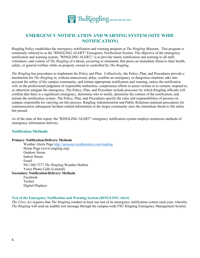

# **EMERGENCY NOTIFICATION AND WARNING SYSTEM (SITE WIDE NOTIFICATION)**

Ringling Policy establishes the emergency notification and warning program at *The Ringling* Museum. This program is commonly referred to as the "RINGLING ALERT" Emergency Notification System. The objective of the emergency notification and warning system, "RINGLING ALERT," is to provide timely notification and warning to all staff, volunteers, and visitors of *The Ringling* of a threat, occurring or imminent, that poses an immediate threat to their health, safety, or general welfare while on property owned or controlled by *The Ringling*.

*The Ringling* has procedures to implement the Policy and Plan. Collectively, the Policy, Plan, and Procedures provide a mechanism for *The Ringling* to, without unnecessary delay, confirm an emergency or dangerous situation, take into account the safety of the campus community, and initiate appropriate notification and warning, unless the notification will, in the professional judgment of responsible authorities, compromise efforts to assist victims or to contain, respond to, or otherwise mitigate the emergency. The Policy, Plan, and Procedure include processes by which Ringling officials will confirm that there is a significant emergency, determine who to notify, determine the content of the notification, and initiate the notification system. The Policy, Plan, and Procedures specify the roles and responsibilities of persons on campus responsible for carrying out this process. Ringling Administration and Public Relations maintain procedures for communication subsequent incident related information to the larger community once the immediate threat to life safety has passed.

As of the time of this report, the "RINGLING ALERT" emergency notification system employs numerous methods of emergency information delivery.

# **Notification Methods:**

#### **Primary Notification/Delivery Methods**

 Weather Alerts Page http://sarasota.weatherstem.com/ringling Home Page (www.ringling.org) Outdoor Sirens Indoor Sirens Email 941-360-7377 *The Ringling* Weather Hotline Voice Phone Calls (Limited)

# **Secondary Notification/Delivery Methods**

 Facebook Twitter Digital Displays

## **Test of the Emergency Notification and Warning System (RINGLING Alert)**

*The Clery Act* requires that *The Ringling* conduct at least one test of its emergency notification system each year, whereby *The Ringling* will send an audible test message through the campus-wide FSU Ringling Emergency Management System.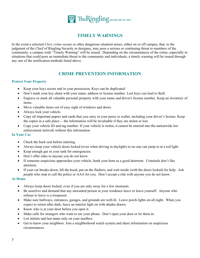

# **TIMELY WARNINGS**

In the event a selected *Clery crime* occurs or other dangerous situation arises, either on or off campus, that, in the judgment of the Chief of Ringling Security or designee, may pose a serious or continuing threat to members of the community, a campus wide "Timely Warning" will be issued. Depending on the circumstances of the crime, especially in situations that could pose an immediate threat to the community and individuals, a timely warning will be issued through any one of the notification methods listed above.

# **CRIME PREVENTION INFORMATION**

# **Protect Your Property**

- Keep your keys secure and in your possession. Keys can be duplicated.
- Don't mark your key chain with your name, address or license number. Lost keys can lead to theft.
- Engrave or mark all valuable personal property with your name and driver's license number. Keep an inventory of items.
- Move valuable items out of easy sight of windows and doors.
- Always lock your vehicle.
- Copy all important papers and cards that you carry in your purse or wallet, including your driver's license. Keep the copies in a safe place— the information will be invaluable if they are stolen or lost.
- Copy your vehicle ID and tag number. If your vehicle is stolen, it cannot be entered into the nationwide law enforcement network without this information

## **In Your Car**

- Check the back seat before entering.
- Always keep your vehicle doors locked (even when driving in daylight) so no one can jump in at a red light.
- Keep enough gas in your tank for emergencies.
- Don't offer rides to anyone you do not know.
- If someone suspicious approaches your vehicle, honk your horn as a good deterrent. Criminals don't like attention.
- If your car breaks down, lift the hood, put on the flashers, and wait inside (with the doors locked) for help. Ask people who stop to call the police or AAA for you. Don't accept a ride with anyone you do not know.

## **At Home**

- Always keep doors locked, even if you are only away for a few moments.
- Be assertive and demand that any unwanted person in your residence leave or leave yourself. Anyone who refuses to leave is a trespasser.
- Make sure hallways, entrances, garages, and grounds are well-lit. Leave porch lights on all night. When you expect to return after dark, leave an interior light on with shades drawn.
- Know who is at your door before you open it.
- Make calls for strangers who want to use your phone. Don't open your door or let them in.
- List initials and last name only on your mailbox.
- Get to know your neighbors. Join a neighborhood watch system and share information on suspicious circumstances.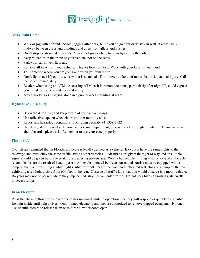

## **Away from Home**

- Walk or jog with a friend. Avoid jogging after dark, but if you do go after dark, stay in well-lit areas; walk midway between curbs and buildings and away from alleys and bushes.
- Don't stop for stranded motorists. You are of greater help to them by calling the police.
- Keep valuables in the trunk of your vehicle, not on the seats.
- Park your car in well-lit areas.
- Remove all keys from your vehicle. Thieves look for keys. Walk with your keys in your hand.
- Tell someone where you are going and when you will return.
- Don't fight back if your purse or wallet is snatched. Turn it over to the thief rather than risk personal injury. Call the police immediately.
- Be alert when using an ATM. Accessing ATM cash in remote locations, particularly after nightfall, could expose you to risk of robbery and personal injury.
- Avoid working or studying alone in a public-access building at night.

## **If you have a disability**

- Be on the defensive; and keep aware of your surroundings.
- Use reflective tape on wheelchairs or other mobility aids.
- Report any hazardous conditions to Ringling Security 941-359-5722
- Use designated sidewalks. If you have a visual impairment, be sure to get thorough orientation. If you are unsure about hazards, please ask. Remember to use your cane properly.

#### **Play it Safe**

Cyclists are reminded that in Florida, a bicycle is legally defined as a vehicle. Bicyclists have the same rights to the roadways and must obey the same traffic laws as other vehicles. Pedestrians are given the right of way and an audible signal should be given before overtaking and passing pedestrians. Wear a helmet when riding –nearly 75% of all bicycle related deaths are the result of head injuries. A bicycle operated between sunset and sunrise must be equipped with a lamp on the front exhibiting a white light visible from 500 feet to the front and both a red reflector and a lamp on the rear exhibiting a red light visible from 600 feet to the rear. Observe all traffic laws that you would observe in a motor vehicle. Bicycles may not be parked where they impede pedestrian or vehicular traffic. Do not park bikes on railings, stairwells, or access ramps.

#### **In an Elevator**

Press the alarm button if the elevator becomes impaired while in operation. Security will respond as quickly as possible. Remain inside until help arrives. Only trained elevator personnel are authorized to remove trapped occupants. No one else should attempt to release them or to force elevator doors open.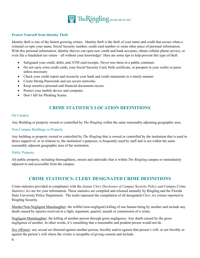

# **Protect Yourself from Identity Theft**

Identity theft is one of the fastest growing crimes. Identity theft is the theft of your name and credit that occurs when a criminal co-opts your name, Social Security number, credit card number or some other piece of personal information. With this personal information, identity thieves can open new credit and bank accounts, obtain cellular phone service, or even file a fraudulent tax return – all without your knowledge! Here are some tips to help prevent this type of theft:

- Safeguard your credit, debit, and ATM card receipts. Never toss them in a public container.
- Do not carry extra credit cards, your Social Security Card, birth certificate, or passport in your wallet or purse unless necessary.
- Check your credit report and reconcile your bank and credit statements in a timely manner.
- Create Strong Passwords and use secure networks.
- Keep sensitive personal and financial documents secure.
- Protect your mobile device and computer.
- Don't fall for Phishing Scams.

# **CRIME STATISTICS LOCATION DEFINITIONS**

#### On Campus

Any Building or property owned or controlled by *The Ringling* within the same reasonably adjoining geographic area.

#### Non‐Campus Buildings or Property

Any building or property owned or controlled by *The Ringling* that is owned or controlled by the institution that is used in direct support of, or in relation to, the institution's purposes, is frequently used by staff and is not within the same reasonably adjacent geographic area of the institution.

#### Public Property

All public property, including thoroughfares, streets and sidewalks that is within *The Ringling* campus or immediately adjacent to and accessible from the campus.

# **CRIME STATISTICS: CLERY DESIGNATED CRIME DEFINITIONS**

Crime statistics provided in compliance with the *Jeanne Clery Disclosure of Campus Security Policy and Campus Crime Statistics Act* are for your information. These statistics are compiled and released annually by Ringling and the Florida State University Police Department. The totals represent the compilation of all designated *Clery Act* crimes reported to Ringling Security.

Murder/Non-Negligent Manslaughter: the willful (non-negligent) killing of one human being by another and include any death caused by injuries received in a fight, argument, quarrel, assault or commission of a crime.

Negligent Manslaughter: the killing of another person through gross negligence. Any death caused by the gross negligence of another. In other words, it's something that a reasonable and prudent person would not do.

Sex offenses: any sexual act directed against another person, forcibly and/or against that person's will; or not forcibly or against the person's will where the victim is incapable of giving consent and include: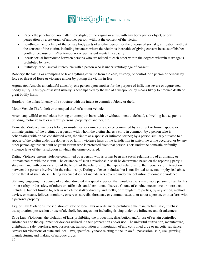

- Rape the penetration, no matter how slight, of the vagina or anus, with any body part or object, or oral penetration by a sex organ of another person, without the consent of the victim.
- Fondling the touching of the private body parts of another person for the purpose of sexual gratification, without the consent of the victim, including instances where the victim is incapable of giving consent because of his/her youth or because of his/her temporary or permanent mental incapacity.
- Incest: sexual intercourse between persons who are related to each other within the degrees wherein marriage is prohibited by law.
- Statutory Rape –sexual intercourse with a person who is under statutory age of consent.

Robbery: the taking or attempting to take anything of value from the care, custody, or control of a person or persons by force or threat of force or violence and/or by putting the victim in fear.

Aggravated Assault: an unlawful attack by one person upon another for the purpose of inflicting severe or aggravated bodily injury. This type of assault usually is accompanied by the use of a weapon or by means likely to produce death or great bodily harm.

Burglary: the unlawful entry of a structure with the intent to commit a felony or theft.

Motor Vehicle Theft: theft or attempted theft of a motor vehicle.

Arson: any willful or malicious burning or attempt to burn, with or without intent to defraud, a dwelling house, public building, motor vehicle or aircraft, personal property of another, etc.

Domestic Violence: includes felony or misdemeanor crimes of violence committed by a current or former spouse or intimate partner of the victim; by a person with whom the victim shares a child in common; by a person who is cohabitating with or has cohabitated with, the victim as a spouse or intimate partner; by a person similarly situated to a spouse of the victim under the domestic or family violence laws of the jurisdiction in which the crime occurred; or by any other person against an adult or youth victim who is protected from that person's acts under the domestic or family violence laws of the jurisdiction in which the crime occurred.

Dating Violence: means violence committed by a person who is or has been in a social relationship of a romantic or intimate nature with the victim. The existence of such a relationship shall be determined based on the reporting party's statement and with consideration of the length of the relationship, the type of relationship, the frequency of interaction between the persons involved in the relationship. Dating violence includes, but is not limited to, sexual or physical abuse or the threat of such abuse. Dating violence does not include acts covered under the definition of domestic violence.

Stalking: engaging in a course of conduct directed at a specific person that would cause a reasonable person to fear for his or her safety or the safety of others or suffer substantial emotional distress. Course of conduct means two or more acts, including, but not limited to, acts in which the stalker directly, indirectly, or through third parties, by any action, method, device, or means, follows, monitors, observes, surveils, threatens, or communicates to or about a person, or interferes with a person's property.

Liquor Law Violations: the violation of state or local laws or ordinances prohibiting the manufacture, sale, purchase, transportation, possession or use of alcoholic beverages, not including driving under the influence and drunkenness.

Drug Law Violations: the violation of laws prohibiting the production, distribution and/or use of certain controlled substances and the equipment or devices utilized in their preparation and/or use. The unlawful cultivation, manufacture, distribution, sale, purchase, use, possession, transportation or importation of any controlled drug or narcotic substance. Arrests for violations of state and local laws, specifically those relating to the unlawful possession, sale, use, growing, manufacturing and making of narcotic drugs.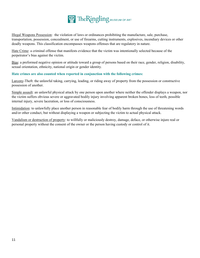

Illegal Weapons Possession: the violation of laws or ordinances prohibiting the manufacture, sale, purchase, transportation, possession, concealment, or use of firearms, cutting instruments, explosives, incendiary devices or other deadly weapons. This classification encompasses weapons offenses that are regulatory in nature.

Hate Crime: a criminal offense that manifests evidence that the victim was intentionally selected because of the perpetrator's bias against the victim.

Bias: a preformed negative opinion or attitude toward a group of persons based on their race, gender, religion, disability, sexual orientation, ethnicity, national origin or gender identity.

## **Hate crimes are also counted when reported in conjunction with the following crimes:**

Larceny‐Theft: the unlawful taking, carrying, leading, or riding away of property from the possession or constructive possession of another.

Simple assault: an unlawful physical attack by one person upon another where neither the offender displays a weapon, nor the victim suffers obvious severe or aggravated bodily injury involving apparent broken bones, loss of teeth, possible internal injury, severe laceration, or loss of consciousness.

Intimidation: to unlawfully place another person in reasonable fear of bodily harm through the use of threatening words and/or other conduct, but without displaying a weapon or subjecting the victim to actual physical attack.

Vandalism or destruction of property: to willfully or maliciously destroy, damage, deface, or otherwise injure real or personal property without the consent of the owner or the person having custody or control of it.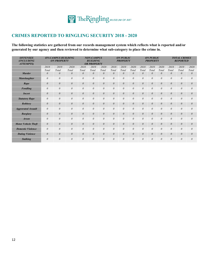# **CRIMES REPORTED TO RINGLING SECURITY 2018 - 2020**

**The following statistics are gathered from our records management system which reflects what is reported and/or generated by our agency and then reviewed to determine what sub-category to place the crime in.** 

| <b>OFFENSES</b><br>(INCLUDING<br><b>ATTEMPTS</b> ) |          | <b>ON-CAMPUS BUILDING</b><br><b>ON PROPERTY</b> |          |          | <b>NON-CAMPUS</b><br><b>BUILDING</b><br><b>OR PROPERTY</b> |          |          | <b>ON PUBLIC</b><br><b>PROPERTY</b> |          |          | <b>ON PUBLIC</b><br><b>PROPERTY</b> |          | <b>TOTAL CRIMES</b><br><b>REPORTED</b> |          |          |  |  |
|----------------------------------------------------|----------|-------------------------------------------------|----------|----------|------------------------------------------------------------|----------|----------|-------------------------------------|----------|----------|-------------------------------------|----------|----------------------------------------|----------|----------|--|--|
|                                                    | 2018     | 2019                                            | 2020     | 2018     | 2019                                                       | 2020     | 2018     | 2019                                | 2020     | 2018     | 2019                                | 2020     | 2018                                   | 2019     | 2020     |  |  |
|                                                    | Total    | Total                                           | Total    | Total    | Total                                                      | Total    | Total    | Total                               | Total    | Total    | Total                               | Total    | Total                                  | Total    | Total    |  |  |
| <b>Murder</b>                                      | $\theta$ | $\theta$                                        | $\theta$ | 0        | $\theta$                                                   | $\theta$ | $\theta$ | $\theta$                            | $\theta$ | $\theta$ | $\theta$                            | $\theta$ | $\theta$                               | $\theta$ | $\theta$ |  |  |
| <b>Manslaughter</b>                                | $\theta$ | $\theta$                                        | $\theta$ | $\theta$ | $\theta$                                                   | $\theta$ | $\theta$ | $\theta$                            | $\theta$ | $\theta$ | $\theta$                            | $\theta$ | $\theta$                               | 0        | 0        |  |  |
| Rape                                               | $\theta$ | $\theta$                                        | $\theta$ | $\theta$ | $\theta$                                                   | $\theta$ | $\theta$ | $\theta$                            | $\theta$ | $\theta$ | $\theta$                            | $\theta$ | $\theta$                               | $\theta$ | $\theta$ |  |  |
| <b>Fondling</b>                                    | $\theta$ | $\theta$                                        | $\theta$ | 0        | $\theta$                                                   | $\theta$ | $\theta$ | $\theta$                            | $\theta$ | $\theta$ | $\theta$                            | $\theta$ | $\theta$                               | $\theta$ | 0        |  |  |
| <b>Incest</b>                                      | $\theta$ | $\theta$                                        | $\theta$ | $\theta$ | $\theta$                                                   | $\theta$ | $\theta$ | $\theta$                            | $\theta$ | $\theta$ | $\theta$                            | $\theta$ | $\theta$                               | $\theta$ | $\theta$ |  |  |
| <b>Statutory Rape</b>                              | $\theta$ | $\theta$                                        | $\theta$ | $\theta$ | $\theta$                                                   | $\theta$ | $\theta$ | $\theta$                            | $\theta$ | $\theta$ | $\theta$                            | $\theta$ | $\theta$                               | $\theta$ | $\theta$ |  |  |
| Robbery                                            | $\theta$ | $\theta$                                        | $\theta$ | $\theta$ | $\theta$                                                   | $\theta$ | $\theta$ | $\theta$                            | $\theta$ | $\theta$ | 0                                   | $\theta$ | $\theta$                               | $\theta$ | $\theta$ |  |  |
| <b>Aggravated Assault</b>                          | $\theta$ | $\theta$                                        | $\theta$ | $\theta$ | $\theta$                                                   | $\theta$ | $\theta$ | $\theta$                            | $\theta$ | $\theta$ | $\theta$                            | $\theta$ | $\theta$                               | $\theta$ | $\theta$ |  |  |
| <b>Burglary</b>                                    | $\theta$ | $\theta$                                        | $\theta$ | $\theta$ | $\theta$                                                   | $\theta$ | $\theta$ | $\theta$                            | $\theta$ | $\theta$ | 0                                   | $\theta$ | $\theta$                               | $\theta$ | $\theta$ |  |  |
| <b>Arson</b>                                       | $\theta$ | $\theta$                                        | $\theta$ | $\theta$ | $\theta$                                                   | $\theta$ | $\theta$ | $\theta$                            | $\theta$ | $\theta$ | $\theta$                            | $\theta$ | $\theta$                               | $\theta$ | $\theta$ |  |  |
| <b>Motor Vehicle Theft</b>                         | $\theta$ | $\theta$                                        | $\theta$ | $\theta$ | $\theta$                                                   | $\theta$ | $\theta$ | $\theta$                            | $\theta$ | $\theta$ | $\theta$                            | $\theta$ | $\theta$                               | $\theta$ | $\theta$ |  |  |
| <b>Domestic Violence</b>                           | $\theta$ | $\theta$                                        | $\theta$ | $\theta$ | $\theta$                                                   | $\theta$ | $\theta$ | $\theta$                            | $\theta$ | $\theta$ | $\theta$                            | $\theta$ | $\theta$                               | $\theta$ | 0        |  |  |
| <b>Dating Violence</b>                             | $\theta$ | $\theta$                                        | $\theta$ | $\theta$ | $\theta$                                                   | $\theta$ | $\theta$ | $\theta$                            | $\theta$ | $\theta$ | $\theta$                            | $\theta$ | $\theta$                               | $\theta$ | $\theta$ |  |  |
| <b>Stalking</b>                                    | $\theta$ | $\theta$                                        | $\theta$ | $\theta$ | $\theta$                                                   | $\theta$ | $\theta$ | $\theta$                            | $\theta$ | $\theta$ | $\theta$                            | $\theta$ | $\theta$                               | $\theta$ | $\theta$ |  |  |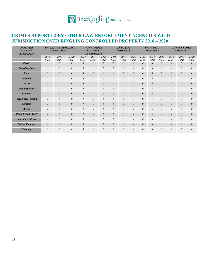# **CRIMES REPORTED BY OTHER LAW ENFORCEMENT AGENCIES WITH JURISDICTION OVER RINGLING CONTROLLED PROPERTY 2018 – 2020**

| <b>OFFENSES</b><br>(INCLUDING<br><b>ATTEMPTS</b> ) |          | <b>ON-CAMPUS BUILDING</b><br><b>ON PROPERTY</b> |          |          | <b>NON-CAMPUS</b><br><b>BUILDING</b><br><b>OR PROPERTY</b> |          |          | <b>ON PUBLIC</b><br><b>PROPERTY</b> |          |          | <b>ON PUBLIC</b><br><b>PROPERTY</b> |          | <b>TOTAL CRIMES</b><br><b>REPORTED</b> |          |          |  |  |
|----------------------------------------------------|----------|-------------------------------------------------|----------|----------|------------------------------------------------------------|----------|----------|-------------------------------------|----------|----------|-------------------------------------|----------|----------------------------------------|----------|----------|--|--|
|                                                    | 2018     | 2019                                            | 2020     | 2018     | 2019                                                       | 2020     | 2018     | 2019                                | 2020     | 2018     | 2019                                | 2020     | 2018                                   | 2019     | 2020     |  |  |
|                                                    | Total    | Total                                           | Total    | Total    | Total                                                      | Total    | Total    | Total                               | Total    | Total    | Total                               | Total    | Total                                  | Total    | Total    |  |  |
| <b>Murder</b>                                      | 0        | $\theta$                                        | 0        | $\theta$ | $\theta$                                                   | $\theta$ | $\theta$ | $\theta$                            | $\theta$ | $\theta$ | $\theta$                            | $\theta$ | $\theta$                               | $\theta$ | 0        |  |  |
| <b>Manslaughter</b>                                | $\theta$ | $\theta$                                        | $\theta$ | $\theta$ | $\theta$                                                   | 0        | $\theta$ | $\theta$                            | $\theta$ | $\theta$ | $\theta$                            | $\theta$ | $\theta$                               | $\theta$ | $\theta$ |  |  |
| Rape                                               | $\theta$ | $\theta$                                        | $\theta$ | $\theta$ | $\theta$                                                   | $\theta$ | $\theta$ | $\theta$                            | $\theta$ | $\theta$ | $\theta$                            | $\theta$ | $\theta$                               | $\theta$ | $\theta$ |  |  |
| <b>Fondling</b>                                    | $\theta$ | $\theta$                                        | $\theta$ | $\theta$ | $\theta$                                                   | $\theta$ | $\theta$ | $\theta$                            | $\theta$ | $\theta$ | $\theta$                            | $\theta$ | $\theta$                               | $\theta$ | 0        |  |  |
| <b>Incest</b>                                      | $\theta$ | $\theta$                                        | $\theta$ | $\theta$ | $\theta$                                                   | $\theta$ | $\theta$ | $\theta$                            | $\theta$ | $\theta$ | $\theta$                            | $\theta$ | $\theta$                               | $\theta$ | $\theta$ |  |  |
| <b>Statutory Rape</b>                              | $\theta$ | $\theta$                                        | $\theta$ | $\theta$ | $\theta$                                                   | $\theta$ | $\theta$ | $\theta$                            | $\theta$ | $\theta$ | $\theta$                            | $\theta$ | $\theta$                               | $\theta$ | $\theta$ |  |  |
| <b>Robbery</b>                                     | $\theta$ | $\theta$                                        | $\theta$ | $\theta$ | $\theta$                                                   | $\theta$ | $\theta$ | $\theta$                            | $\theta$ | $\theta$ | $\theta$                            | $\theta$ | $\theta$                               | $\theta$ | $\theta$ |  |  |
| <b>Aggravated Assault</b>                          | $\theta$ | $\theta$                                        | $\theta$ | $\theta$ | $\theta$                                                   | $\theta$ | $\theta$ | $\theta$                            | $\theta$ | $\theta$ | $\theta$                            | $\theta$ | $\theta$                               | $\theta$ | $\theta$ |  |  |
| <b>Burglary</b>                                    | $\theta$ | $\theta$                                        | $\theta$ | $\theta$ | $\theta$                                                   | $\theta$ | $\theta$ | $\theta$                            | $\theta$ | $\theta$ | $\theta$                            | $\theta$ | $\theta$                               | $\theta$ | $\theta$ |  |  |
| <b>Arson</b>                                       | $\theta$ | $\theta$                                        | $\theta$ | $\theta$ | $\theta$                                                   | $\theta$ | $\theta$ | $\theta$                            | $\theta$ | $\theta$ | $\theta$                            | $\theta$ | $\theta$                               | $\theta$ | $\theta$ |  |  |
| <b>Motor Vehicle Theft</b>                         | $\theta$ | $\theta$                                        | $\theta$ | $\theta$ | $\theta$                                                   | $\theta$ | $\theta$ | $\theta$                            | $\theta$ | $\theta$ | $\theta$                            | $\theta$ | $\theta$                               | $\theta$ | $\theta$ |  |  |
| <b>Domestic Violence</b>                           | $\theta$ | $\theta$                                        | $\theta$ | $\theta$ | $\theta$                                                   | $\theta$ | $\theta$ | $\theta$                            | $\theta$ | $\theta$ | $\theta$                            | $\theta$ | $\theta$                               | $\theta$ | $\theta$ |  |  |
| <b>Dating Violence</b>                             | $\theta$ | $\theta$                                        | $\theta$ | $\theta$ | $\theta$                                                   | $\theta$ | $\theta$ | $\theta$                            | $\theta$ | $\theta$ | $\theta$                            | $\theta$ | $\theta$                               | $\theta$ | $\theta$ |  |  |
| <b>Stalking</b>                                    | $\theta$ | $\theta$                                        | $\theta$ | $\theta$ | $\theta$                                                   | $\theta$ | $\theta$ | $\theta$                            | $\theta$ | $\theta$ | $\theta$                            | $\theta$ | $\theta$                               | $\theta$ | $\theta$ |  |  |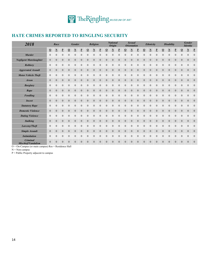

# **HATE CRIMES REPORTED TO RINGLING SECURITY**

| 2018                           |                  | Race                     |                          | <b>Gender</b>    |                          |                          | Religion         |                         |                  | <b>National</b><br><b>Origin</b> |                         |                  |                  | <b>Sexual</b><br><b>Orientation</b> |                  |                  | Ethnicity                |                          |                  | <b>Disability</b>        |                          | <b>Gender</b><br><b>Identity</b> |                         |                         |
|--------------------------------|------------------|--------------------------|--------------------------|------------------|--------------------------|--------------------------|------------------|-------------------------|------------------|----------------------------------|-------------------------|------------------|------------------|-------------------------------------|------------------|------------------|--------------------------|--------------------------|------------------|--------------------------|--------------------------|----------------------------------|-------------------------|-------------------------|
|                                | $\Omega$         | $\underline{\mathbf{N}}$ | $\underline{\mathbf{P}}$ | $\Omega$         | $\underline{\mathbf{N}}$ | $\underline{\mathbf{P}}$ | $\Omega$         | $\overline{\mathbf{N}}$ | $\mathbf{P}$     | $\Omega$                         | $\overline{\mathbf{N}}$ | $\bf{P}$         | $\Omega$         | $\overline{\mathbf{N}}$             | P                | $\Omega$         | $\underline{\mathbf{N}}$ | $\underline{\mathbf{P}}$ | $\Omega$         | $\underline{\mathbf{N}}$ | $\underline{\mathbf{P}}$ | $\Omega$                         | $\overline{\mathbf{N}}$ | $\overline{\mathbf{b}}$ |
| <b>Murder</b>                  | $\mathbf{0}$     | 0                        | $\boldsymbol{0}$         | $\overline{0}$   | $\boldsymbol{0}$         | $\mathbf{0}$             | $\mathbf{0}$     | $\mathbf{0}$            | $\boldsymbol{0}$ | $\mathbf{0}$                     | $\mathbf{0}$            | $\boldsymbol{0}$ | $\mathbf{0}$     | $\mathbf{0}$                        | $\mathbf{0}$     | $\boldsymbol{0}$ | $\overline{0}$           | $\boldsymbol{0}$         | $\mathbf{0}$     | $\boldsymbol{0}$         | $\boldsymbol{0}$         | $\boldsymbol{0}$                 | $\boldsymbol{0}$        | $\boldsymbol{0}$        |
| <b>Negligent Manslaughter</b>  | $\mathbf{0}$     | 0                        | $\overline{0}$           | $\overline{0}$   | $\mathbf{0}$             | $\overline{0}$           | $\mathbf{0}$     | $\mathbf{0}$            | $\theta$         | $\mathbf{0}$                     | $\mathbf{0}$            | $\theta$         | $\theta$         | $\mathbf{0}$                        | $\mathbf{0}$     | $\mathbf{0}$     | $\overline{0}$           | $\boldsymbol{0}$         | $\overline{0}$   | $\mathbf{0}$             | $\theta$                 | $\overline{0}$                   | $\mathbf{0}$            | $\boldsymbol{0}$        |
| <b>Robbery</b>                 | $\mathbf{0}$     | $\boldsymbol{0}$         | $\boldsymbol{0}$         | $\boldsymbol{0}$ | $\boldsymbol{0}$         | $\boldsymbol{0}$         | $\theta$         | $\mathbf{0}$            | $\theta$         | $\boldsymbol{0}$                 | $\mathbf{0}$            | $\theta$         | $\theta$         | $\mathbf{0}$                        | $\mathbf{0}$     | $\theta$         | $\boldsymbol{0}$         | $\boldsymbol{0}$         | $\boldsymbol{0}$ | $\boldsymbol{0}$         | $\boldsymbol{0}$         | $\boldsymbol{0}$                 | $\boldsymbol{0}$        | $\boldsymbol{0}$        |
| <b>Aggrevated Assault</b>      | $\mathbf{0}$     | $\rm 0$                  | $\boldsymbol{0}$         | $\overline{0}$   | $\mathbf{0}$             | $\mathbf{0}$             | $\overline{0}$   | $\mathbf{0}$            | $\boldsymbol{0}$ | $\boldsymbol{0}$                 | $\mathbf{0}$            | $\theta$         | $\theta$         | $\mathbf{0}$                        | $\mathbf{0}$     | $\mathbf{0}$     | $\overline{0}$           | $\boldsymbol{0}$         | $\overline{0}$   | $\mathbf{0}$             | $\theta$                 | $\theta$                         | $\mathbf{0}$            | $\boldsymbol{0}$        |
| <b>Motor Vehicle Theft</b>     | $\boldsymbol{0}$ | 0                        | $\boldsymbol{0}$         | $\overline{0}$   | $\boldsymbol{0}$         | $\overline{0}$           | $\overline{0}$   | $\mathbf{0}$            | $\Omega$         | $\boldsymbol{0}$                 | $\overline{0}$          | $\mathbf{0}$     | $\theta$         | $\mathbf{0}$                        | $\theta$         | $\overline{0}$   | 0                        | $\boldsymbol{0}$         | $\overline{0}$   | $\boldsymbol{0}$         | $\boldsymbol{0}$         | $\mathbf{0}$                     | $\boldsymbol{0}$        | $\boldsymbol{0}$        |
| <b>Arson</b>                   | $\mathbf{0}$     | $\boldsymbol{0}$         | $\mathbf{0}$             | $\boldsymbol{0}$ | $\boldsymbol{0}$         | $\overline{0}$           | $\mathbf{0}$     | $\mathbf{0}$            | $\boldsymbol{0}$ | $\mathbf{0}$                     | $\mathbf{0}$            | $\mathbf{0}$     | $\mathbf{0}$     | $\mathbf{0}$                        | $\mathbf{0}$     | $\boldsymbol{0}$ | $\mathbf{0}$             | $\mathbf{0}$             | $\boldsymbol{0}$ | $\boldsymbol{0}$         | $\mathbf{0}$             | $\boldsymbol{0}$                 | $\mathbf{0}$            | $\boldsymbol{0}$        |
| <b>Burglary</b>                | $\mathbf{0}$     | 0                        | $\boldsymbol{0}$         | $\mathbf{0}$     | $\mathbf{0}$             | $\theta$                 | $\mathbf{0}$     | $\mathbf{0}$            | $\theta$         | $\boldsymbol{0}$                 | $\mathbf{0}$            | $\theta$         | $\theta$         | $\mathbf{0}$                        | $\mathbf{0}$     | $\theta$         | $\overline{0}$           | $\boldsymbol{0}$         | $\mathbf{0}$     | $\mathbf{0}$             | $\theta$                 | $\theta$                         | $\boldsymbol{0}$        | $\boldsymbol{0}$        |
| Rape                           | $\mathbf{0}$     | $\rm 0$                  | $\mathbf{0}$             | $\boldsymbol{0}$ | $\boldsymbol{0}$         | $\boldsymbol{0}$         | $\theta$         | $\mathbf{0}$            | $\boldsymbol{0}$ | $\boldsymbol{0}$                 | $\boldsymbol{0}$        | $\boldsymbol{0}$ | $\boldsymbol{0}$ | $\mathbf{0}$                        | $\boldsymbol{0}$ | $\mathbf{0}$     | $\boldsymbol{0}$         | $\mathbf{0}$             | $\boldsymbol{0}$ | $\boldsymbol{0}$         | $\boldsymbol{0}$         | $\theta$                         | $\mathbf{0}$            | $\boldsymbol{0}$        |
| <b>Fondling</b>                | $\mathbf{0}$     | 0                        | $\boldsymbol{0}$         | $\boldsymbol{0}$ | $\boldsymbol{0}$         | $\boldsymbol{0}$         | $\mathbf{0}$     | $\boldsymbol{0}$        | $\boldsymbol{0}$ | $\boldsymbol{0}$                 | $\mathbf{0}$            | $\boldsymbol{0}$ | $\boldsymbol{0}$ | $\boldsymbol{0}$                    | $\mathbf{0}$     | $\boldsymbol{0}$ | 0                        | $\boldsymbol{0}$         | $\boldsymbol{0}$ | $\boldsymbol{0}$         | $\boldsymbol{0}$         | $\boldsymbol{0}$                 | $\boldsymbol{0}$        | $\boldsymbol{0}$        |
| <b>Incest</b>                  | $\mathbf{0}$     | $\rm 0$                  | $\mathbf{0}$             | $\overline{0}$   | $\mathbf{0}$             | $\overline{0}$           | $\mathbf{0}$     | $\mathbf{0}$            | $\theta$         | $\boldsymbol{0}$                 | $\mathbf{0}$            | $\theta$         | $\theta$         | $\overline{0}$                      | $\mathbf{0}$     | $\mathbf{0}$     | $\overline{0}$           | $\mathbf{0}$             | $\overline{0}$   | $\overline{0}$           | $\overline{0}$           | $\theta$                         | $\mathbf{0}$            | $\boldsymbol{0}$        |
| <b>Statutory Rape</b>          | $\mathbf{0}$     | $\boldsymbol{0}$         | $\mathbf{0}$             | $\mathbf{0}$     | $\boldsymbol{0}$         | $\overline{0}$           | $\boldsymbol{0}$ | $\boldsymbol{0}$        | $\boldsymbol{0}$ | $\mathbf{0}$                     | $\mathbf{0}$            | $\mathbf{0}$     | $\mathbf{0}$     | $\mathbf{0}$                        | $\mathbf{0}$     | $\mathbf{0}$     | $\boldsymbol{0}$         | $\boldsymbol{0}$         | $\mathbf{0}$     | $\boldsymbol{0}$         | $\boldsymbol{0}$         | $\boldsymbol{0}$                 | $\boldsymbol{0}$        | $\boldsymbol{0}$        |
| <b>Domestic Violence</b>       | $\mathbf{0}$     | $\boldsymbol{0}$         | $\mathbf{0}$             | $\overline{0}$   | $\boldsymbol{0}$         | $\mathbf{0}$             | $\boldsymbol{0}$ | $\overline{0}$          | $\boldsymbol{0}$ | $\boldsymbol{0}$                 | $\mathbf{0}$            | $\overline{0}$   | $\mathbf{0}$     | $\mathbf{0}$                        | $\overline{0}$   | $\boldsymbol{0}$ | $\boldsymbol{0}$         | $\mathbf{0}$             | $\overline{0}$   | $\boldsymbol{0}$         | $\overline{0}$           | $\boldsymbol{0}$                 | $\mathbf{0}$            | $\boldsymbol{0}$        |
| <b>Dating Violence</b>         | $\boldsymbol{0}$ | 0                        | $\boldsymbol{0}$         | $\boldsymbol{0}$ | $\mathbf{0}$             | $\theta$                 | $\overline{0}$   | $\mathbf{0}$            | $\boldsymbol{0}$ | $\boldsymbol{0}$                 | $\overline{0}$          | $\theta$         | $\boldsymbol{0}$ | $\mathbf{0}$                        | $\theta$         | $\boldsymbol{0}$ | 0                        | $\boldsymbol{0}$         | $\mathbf{0}$     | $\boldsymbol{0}$         | $\boldsymbol{0}$         | $\mathbf{0}$                     | $\boldsymbol{0}$        | $\boldsymbol{0}$        |
| <b>Stalking</b>                | $\mathbf{0}$     | $\overline{0}$           | $\mathbf{0}$             | $\boldsymbol{0}$ | $\mathbf{0}$             | $\mathbf{0}$             | $\mathbf{0}$     | $\mathbf{0}$            | $\boldsymbol{0}$ | $\mathbf{0}$                     | $\mathbf{0}$            | $\mathbf{0}$     | $\overline{0}$   | $\mathbf{0}$                        | $\mathbf{0}$     | $\boldsymbol{0}$ | $\overline{0}$           | $\mathbf{0}$             | $\overline{0}$   | $\theta$                 | $\boldsymbol{0}$         | $\mathbf{0}$                     | $\mathbf{0}$            | $\boldsymbol{0}$        |
| Larceny/Theft                  | $\mathbf{0}$     | $\overline{0}$           | $\mathbf{0}$             | $\overline{0}$   | $\overline{0}$           | $\overline{0}$           | $\overline{0}$   | $\mathbf{0}$            | $\overline{0}$   | $\mathbf{0}$                     | $\overline{0}$          | $\mathbf{0}$     | $\overline{0}$   | $\mathbf{0}$                        | $\mathbf{0}$     | $\overline{0}$   | $\overline{0}$           | $\mathbf{0}$             | $\overline{0}$   | $\overline{0}$           | $\overline{0}$           | $\overline{0}$                   | $\mathbf{0}$            | $\boldsymbol{0}$        |
| <b>Simple Assault</b>          | $\mathbf{0}$     | $\overline{0}$           | $\mathbf{0}$             | $\boldsymbol{0}$ | $\mathbf{0}$             | $\boldsymbol{0}$         | $\mathbf{0}$     | $\mathbf{0}$            | $\boldsymbol{0}$ | $\boldsymbol{0}$                 | $\mathbf{0}$            | $\mathbf{0}$     | $\mathbf{0}$     | $\mathbf{0}$                        | $\overline{0}$   | $\boldsymbol{0}$ | $\mathbf{0}$             | $\mathbf{0}$             | $\boldsymbol{0}$ | $\boldsymbol{0}$         | $\mathbf{0}$             | $\boldsymbol{0}$                 | $\mathbf{0}$            | $\boldsymbol{0}$        |
| <b>Intimidation</b>            | $\mathbf{0}$     | 0                        | $\boldsymbol{0}$         | $\mathbf{0}$     | $\mathbf{0}$             | $\mathbf{0}$             | $\mathbf{0}$     | $\mathbf{0}$            | $\theta$         | $\boldsymbol{0}$                 | $\mathbf{0}$            | $\theta$         | $\theta$         | $\mathbf{0}$                        | $\mathbf{0}$     | $\mathbf{0}$     | $\overline{0}$           | $\boldsymbol{0}$         | $\mathbf{0}$     | $\overline{0}$           | $\mathbf{0}$             | $\mathbf{0}$                     | $\mathbf{0}$            | $\boldsymbol{0}$        |
| Criminal<br>Mischief/Vandalism | $\mathbf{0}$     | $\overline{0}$           | $\theta$                 | $\mathbf{0}$     | $\mathbf{0}$             | $\mathbf{0}$             | $\mathbf{0}$     | $\theta$                | $\mathbf{0}$     | $\overline{0}$                   | $\overline{0}$          | $\mathbf{0}$     | $\mathbf{0}$     | $\mathbf{0}$                        | $\mathbf{0}$     | $\theta$         | $\overline{0}$           | $\theta$                 | $\overline{0}$   | $\mathbf{0}$             | $\theta$                 | $\mathbf{0}$                     | $\theta$                | $\theta$                |

O = On‐Campus (or main campus) Res = Residence Hall

 $N = Non-campus$ 

P = Public Property adjacent to campus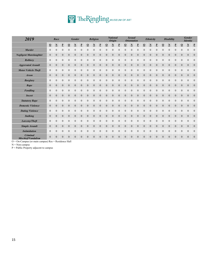# TheRingling MUSEUM OF ART

| 2019                                                          |                            | Race                    |                  |                              | <b>Gender</b>    |                          |                         | Religion         |                  | <b>National</b><br><b>Origin</b> |                  |                         |                | <b>Sexual</b><br><b>Orientation</b> |                  |                  | Ethnicity               |                  |                  | <b>Disability</b>        |                          | <b>Gender</b><br><b>Identity</b> |                         |                          |
|---------------------------------------------------------------|----------------------------|-------------------------|------------------|------------------------------|------------------|--------------------------|-------------------------|------------------|------------------|----------------------------------|------------------|-------------------------|----------------|-------------------------------------|------------------|------------------|-------------------------|------------------|------------------|--------------------------|--------------------------|----------------------------------|-------------------------|--------------------------|
|                                                               | $\overline{\mathbf{0}}$    | $\overline{\mathbf{N}}$ | $\mathbf P$      | $\overline{\mathbf{0}}$      | $\mathbf N$      | $\underline{\mathbf{P}}$ | $\overline{\mathbf{0}}$ | ${\bf N}$        | $\bf{P}$         | $\overline{0}$                   | $\mathbf N$      | $\overline{\mathbf{P}}$ | $\Omega$       | $\overline{\mathbf{N}}$             | ₽                | <u>o</u>         | $\overline{\mathbf{N}}$ | $\mathbf P$      | $\underline{0}$  | $\underline{\mathbf{N}}$ | $\underline{\mathbf{P}}$ | $\overline{0}$                   | $\overline{\mathbf{N}}$ | $\underline{\mathbf{P}}$ |
| <b>Murder</b>                                                 | $\boldsymbol{0}$           | $\boldsymbol{0}$        | $\boldsymbol{0}$ | $\mathbf{0}$                 | $\mathbf{0}$     | $\boldsymbol{0}$         | $\mathbf{0}$            | $\mathbf{0}$     | $\mathbf{0}$     | $\mathbf{0}$                     | $\mathbf{0}$     | $\mathbf{0}$            | $\mathbf{0}$   | $\mathbf{0}$                        | $\mathbf{0}$     | $\mathbf{0}$     | $\boldsymbol{0}$        | $\boldsymbol{0}$ | $\overline{0}$   | $\boldsymbol{0}$         | $\boldsymbol{0}$         | $\mathbf{0}$                     | $\boldsymbol{0}$        | $\boldsymbol{0}$         |
| <b>Negligent Manslaughter</b>                                 | $\boldsymbol{0}$           | $\boldsymbol{0}$        | $\boldsymbol{0}$ | $\theta$                     | $\boldsymbol{0}$ | $\overline{0}$           | $\theta$                | $\boldsymbol{0}$ | $\boldsymbol{0}$ | $\mathbf{0}$                     | $\boldsymbol{0}$ | $\boldsymbol{0}$        | $\mathbf{0}$   | $\mathbf{0}$                        | $\mathbf{0}$     | $\boldsymbol{0}$ | $\overline{0}$          | $\boldsymbol{0}$ | $\overline{0}$   | $\mathbf{0}$             | $\overline{0}$           | $\theta$                         | $\mathbf{0}$            | $\boldsymbol{0}$         |
| <b>Robbery</b>                                                | $\mathbf{0}$               | $\overline{0}$          | $\mathbf{0}$     | $\mathbf{0}$                 | $\mathbf{0}$     | $\boldsymbol{0}$         | $\mathbf{0}$            | $\mathbf{0}$     | $\theta$         | $\boldsymbol{0}$                 | $\overline{0}$   | $\theta$                | $\mathbf{0}$   | $\mathbf{0}$                        | $\mathbf{0}$     | $\mathbf{0}$     | 0                       | $\mathbf{0}$     | $\overline{0}$   | $\overline{0}$           | $\boldsymbol{0}$         | $\boldsymbol{0}$                 | $\boldsymbol{0}$        | $\boldsymbol{0}$         |
| <b>Aggrevated Assault</b>                                     | $\boldsymbol{0}$           | $\boldsymbol{0}$        | $\boldsymbol{0}$ | $\theta$                     | $\boldsymbol{0}$ | $\boldsymbol{0}$         | $\theta$                | $\theta$         | $\boldsymbol{0}$ | $\mathbf{0}$                     | $\mathbf{0}$     | $\theta$                | $\mathbf{0}$   | $\mathbf{0}$                        | $\mathbf{0}$     | $\mathbf{0}$     | 0                       | $\boldsymbol{0}$ | $\overline{0}$   | $\mathbf{0}$             | $\mathbf{0}$             | $\mathbf{0}$                     | $\mathbf{0}$            | $\boldsymbol{0}$         |
| <b>Motor Vehicle Theft</b>                                    | $\mathbf{0}$               | $\boldsymbol{0}$        | $\boldsymbol{0}$ | $\boldsymbol{0}$             | $\mathbf{0}$     | $\boldsymbol{0}$         | $\overline{0}$          | $\mathbf{0}$     | $\theta$         | $\mathbf{0}$                     | $\theta$         | $\mathbf{0}$            | $\mathbf{0}$   | $\boldsymbol{0}$                    | $\theta$         | $\mathbf{0}$     | 0                       | $\mathbf{0}$     | $\overline{0}$   | $\boldsymbol{0}$         | $\boldsymbol{0}$         | $\overline{0}$                   | $\mathbf{0}$            | $\boldsymbol{0}$         |
| <b>Arson</b>                                                  | $\mathbf{0}$               | $\boldsymbol{0}$        | $\mathbf{0}$     | $\mathbf{0}$                 | $\mathbf{0}$     | $\mathbf{0}$             | $\boldsymbol{0}$        | $\boldsymbol{0}$ | $\mathbf{0}$     | $\mathbf{0}$                     | $\boldsymbol{0}$ | $\boldsymbol{0}$        | $\overline{0}$ | $\mathbf{0}$                        | $\mathbf{0}$     | $\boldsymbol{0}$ | $\mathbf{0}$            | $\mathbf{0}$     | $\boldsymbol{0}$ | $\boldsymbol{0}$         | $\mathbf{0}$             | $\mathbf{0}$                     | $\mathbf{0}$            | $\boldsymbol{0}$         |
| <b>Burglary</b>                                               | $\boldsymbol{0}$           | $\boldsymbol{0}$        | $\boldsymbol{0}$ | $\boldsymbol{0}$             | $\boldsymbol{0}$ | $\boldsymbol{0}$         | $\mathbf{0}$            | $\mathbf{0}$     | $\boldsymbol{0}$ | $\mathbf{0}$                     | $\mathbf{0}$     | $\mathbf{0}$            | $\mathbf{0}$   | $\boldsymbol{0}$                    | $\mathbf{0}$     | $\boldsymbol{0}$ | 0                       | $\boldsymbol{0}$ | $\mathbf{0}$     | $\boldsymbol{0}$         | $\boldsymbol{0}$         | $\boldsymbol{0}$                 | $\mathbf{0}$            | $\boldsymbol{0}$         |
| Rape                                                          | $\mathbf{0}$               | $\boldsymbol{0}$        | $\mathbf{0}$     | $\theta$                     | $\theta$         | $\overline{0}$           | $\theta$                | $\mathbf{0}$     | $\theta$         | $\mathbf{0}$                     | $\mathbf{0}$     | $\theta$                | $\mathbf{0}$   | $\overline{0}$                      | $\mathbf{0}$     | $\mathbf{0}$     | $\rm 0$                 | $\mathbf{0}$     | $\overline{0}$   | $\mathbf{0}$             | $\mathbf{0}$             | $\theta$                         | $\mathbf{0}$            | $\boldsymbol{0}$         |
| <b>Fondling</b>                                               | $\mathbf{0}$               | $\overline{0}$          | $\overline{0}$   | $\theta$                     | $\theta$         | $\mathbf{0}$             | $\theta$                | $\theta$         | $\overline{0}$   | $\mathbf{0}$                     | $\mathbf{0}$     | $\mathbf{0}$            | $\mathbf{0}$   | $\mathbf{0}$                        | $\mathbf{0}$     | $\mathbf{0}$     | 0                       | $\mathbf{0}$     | $\mathbf{0}$     | $\mathbf{0}$             | $\theta$                 | $\mathbf{0}$                     | $\mathbf{0}$            | $\boldsymbol{0}$         |
| <b>Incest</b>                                                 | $\boldsymbol{0}$           | $\boldsymbol{0}$        | $\mathbf{0}$     | $\mathbf{0}$                 | $\mathbf{0}$     | $\overline{0}$           | $\overline{0}$          | $\theta$         | $\mathbf{0}$     | $\mathbf{0}$                     | $\overline{0}$   | $\mathbf{0}$            | $\mathbf{0}$   | $\overline{0}$                      | $\mathbf{0}$     | $\mathbf{0}$     | $\overline{0}$          | $\mathbf{0}$     | $\overline{0}$   | $\mathbf{0}$             | $\mathbf{0}$             | $\mathbf{0}$                     | $\mathbf{0}$            | $\boldsymbol{0}$         |
| <b>Statutory Rape</b>                                         | $\mathbf{0}$               | $\boldsymbol{0}$        | $\boldsymbol{0}$ | $\mathbf{0}$                 | $\mathbf{0}$     | $\mathbf{0}$             | $\mathbf{0}$            | $\boldsymbol{0}$ | $\mathbf{0}$     | $\boldsymbol{0}$                 | $\mathbf{0}$     | $\mathbf{0}$            | $\mathbf{0}$   | $\boldsymbol{0}$                    | $\boldsymbol{0}$ | $\mathbf{0}$     | $\mathbf{0}$            | $\boldsymbol{0}$ | $\overline{0}$   | $\boldsymbol{0}$         | $\boldsymbol{0}$         | $\boldsymbol{0}$                 | $\boldsymbol{0}$        | $\boldsymbol{0}$         |
| <b>Domestic Violence</b>                                      | $\boldsymbol{0}$           | $\boldsymbol{0}$        | $\boldsymbol{0}$ | $\mathbf{0}$                 | $\boldsymbol{0}$ | $\boldsymbol{0}$         | $\mathbf{0}$            | $\boldsymbol{0}$ | $\mathbf{0}$     | $\mathbf{0}$                     | $\boldsymbol{0}$ | $\boldsymbol{0}$        | $\overline{0}$ | $\mathbf{0}$                        | $\mathbf{0}$     | $\mathbf{0}$     | $\overline{0}$          | $\boldsymbol{0}$ | $\overline{0}$   | $\boldsymbol{0}$         | $\mathbf{0}$             | $\boldsymbol{0}$                 | $\mathbf{0}$            | $\boldsymbol{0}$         |
| <b>Dating Violence</b>                                        | $\mathbf{0}$               | $\overline{0}$          | $\overline{0}$   | $\theta$                     | $\theta$         | $\mathbf{0}$             | $\theta$                | $\theta$         | $\theta$         | $\mathbf{0}$                     | $\mathbf{0}$     | $\theta$                | $\mathbf{0}$   | $\mathbf{0}$                        | $\theta$         | $\mathbf{0}$     | 0                       | $\boldsymbol{0}$ | $\mathbf{0}$     | $\mathbf{0}$             | $\theta$                 | $\theta$                         | $\theta$                | $\boldsymbol{0}$         |
| <b>Stalking</b>                                               | $\boldsymbol{0}$           | $\boldsymbol{0}$        | $\boldsymbol{0}$ | $\boldsymbol{0}$             | $\boldsymbol{0}$ | $\boldsymbol{0}$         | $\boldsymbol{0}$        | $\boldsymbol{0}$ | $\boldsymbol{0}$ | $\mathbf{0}$                     | $\boldsymbol{0}$ | $\boldsymbol{0}$        | $\mathbf{0}$   | $\mathbf{0}$                        | $\boldsymbol{0}$ | $\mathbf{0}$     | 0                       | $\boldsymbol{0}$ | $\boldsymbol{0}$ | $\boldsymbol{0}$         | $\boldsymbol{0}$         | $\mathbf{0}$                     | $\mathbf{0}$            | $\boldsymbol{0}$         |
| Larceny/Theft                                                 | $\mathbf{0}$               | $\overline{0}$          | $\overline{0}$   | $\mathbf{0}$                 | $\theta$         | $\mathbf{0}$             | $\overline{0}$          | $\overline{0}$   | $\overline{0}$   | $\mathbf{0}$                     | $\mathbf{0}$     | $\mathbf{0}$            | $\mathbf{0}$   | $\mathbf{0}$                        | $\mathbf{0}$     | $\overline{0}$   | 0                       | $\mathbf{0}$     | $\overline{0}$   | $\overline{0}$           | $\overline{0}$           | $\overline{0}$                   | $\overline{0}$          | $\boldsymbol{0}$         |
| <b>Simple Assault</b>                                         | $\mathbf{0}$               | $\boldsymbol{0}$        | $\mathbf{0}$     | $\boldsymbol{0}$             | $\mathbf{0}$     | $\mathbf{0}$             | $\boldsymbol{0}$        | $\boldsymbol{0}$ | $\mathbf{0}$     | $\mathbf{0}$                     | $\mathbf{0}$     | $\boldsymbol{0}$        | $\overline{0}$ | $\mathbf{0}$                        | $\boldsymbol{0}$ | $\mathbf{0}$     | $\mathbf{0}$            | $\mathbf{0}$     | $\mathbf{0}$     | $\boldsymbol{0}$         | $\mathbf{0}$             | $\mathbf{0}$                     | $\overline{0}$          | $\boldsymbol{0}$         |
| <b>Intimidation</b>                                           | $\mathbf{0}$               | $\boldsymbol{0}$        | $\boldsymbol{0}$ | $\boldsymbol{0}$             | $\boldsymbol{0}$ | $\boldsymbol{0}$         | $\mathbf{0}$            | $\mathbf{0}$     | $\boldsymbol{0}$ | $\boldsymbol{0}$                 | $\mathbf{0}$     | $\mathbf{0}$            | $\mathbf{0}$   | $\boldsymbol{0}$                    | $\boldsymbol{0}$ | $\boldsymbol{0}$ | $\boldsymbol{0}$        | $\boldsymbol{0}$ | $\overline{0}$   | $\boldsymbol{0}$         | $\boldsymbol{0}$         | $\boldsymbol{0}$                 | $\boldsymbol{0}$        | $\boldsymbol{0}$         |
| <b>Criminal</b><br>Mischief/Vandalism<br>$\sim$ $\sim$ $\sim$ | $\mathbf{0}$<br>$\sqrt{n}$ | $\overline{0}$<br>$n+1$ | $\boldsymbol{0}$ | $\mathbf{0}$<br><b>YY 11</b> | $\mathbf{0}$     | $\boldsymbol{0}$         | $\theta$                | $\mathbf{0}$     | $\theta$         | $\boldsymbol{0}$                 | $\mathbf{0}$     | $\theta$                | $\mathbf{0}$   | $\boldsymbol{0}$                    | $\mathbf{0}$     | $\boldsymbol{0}$ | 0                       | $\boldsymbol{0}$ | $\overline{0}$   | $\overline{0}$           | $\boldsymbol{0}$         | $\boldsymbol{0}$                 | $\boldsymbol{0}$        | $\boldsymbol{0}$         |

O = On‐Campus (or main campus) Res = Residence Hall

 $\mathbf{N} = \mathbf{Non\text{-}campus}$ 

P = Public Property adjacent to campus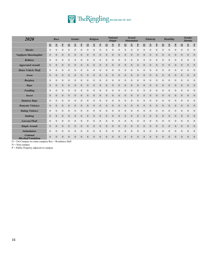# TheRingling MUSEUM OF ART

| 2020                                                   |                            | Race                    |                  |                              | <b>Gender</b>    |                          |                         | Religion         |                  | <b>National</b><br><b>Origin</b> |                  |                         |                | <b>Sexual</b><br><b>Orientation</b> |                  |                  | Ethnicity               |                  |                  | <b>Disability</b>        |                          | <b>Gender</b><br><b>Identity</b> |                         |                          |
|--------------------------------------------------------|----------------------------|-------------------------|------------------|------------------------------|------------------|--------------------------|-------------------------|------------------|------------------|----------------------------------|------------------|-------------------------|----------------|-------------------------------------|------------------|------------------|-------------------------|------------------|------------------|--------------------------|--------------------------|----------------------------------|-------------------------|--------------------------|
|                                                        | $\overline{\mathbf{0}}$    | $\overline{\mathbf{N}}$ | $\mathbf P$      | $\overline{\mathbf{0}}$      | $\mathbf N$      | $\underline{\mathbf{P}}$ | $\overline{\mathbf{0}}$ | ${\bf N}$        | $\bf{P}$         | $\overline{0}$                   | $\mathbf N$      | $\overline{\mathbf{P}}$ | $\Omega$       | $\overline{\mathbf{N}}$             | ₽                | <u>o</u>         | $\overline{\mathbf{N}}$ | $\mathbf P$      | $\underline{0}$  | $\underline{\mathbf{N}}$ | $\underline{\mathbf{P}}$ | $\overline{0}$                   | $\overline{\mathbf{N}}$ | $\underline{\mathbf{P}}$ |
| <b>Murder</b>                                          | $\boldsymbol{0}$           | $\boldsymbol{0}$        | $\boldsymbol{0}$ | $\mathbf{0}$                 | $\mathbf{0}$     | $\boldsymbol{0}$         | $\mathbf{0}$            | $\mathbf{0}$     | $\mathbf{0}$     | $\mathbf{0}$                     | $\mathbf{0}$     | $\theta$                | $\mathbf{0}$   | $\mathbf{0}$                        | $\mathbf{0}$     | $\mathbf{0}$     | $\boldsymbol{0}$        | $\boldsymbol{0}$ | $\overline{0}$   | $\boldsymbol{0}$         | $\boldsymbol{0}$         | $\mathbf{0}$                     | $\boldsymbol{0}$        | $\boldsymbol{0}$         |
| <b>Negligent Manslaughter</b>                          | $\boldsymbol{0}$           | $\boldsymbol{0}$        | $\boldsymbol{0}$ | $\theta$                     | $\boldsymbol{0}$ | $\overline{0}$           | $\theta$                | $\boldsymbol{0}$ | $\boldsymbol{0}$ | $\mathbf{0}$                     | $\boldsymbol{0}$ | $\boldsymbol{0}$        | $\mathbf{0}$   | $\mathbf{0}$                        | $\mathbf{0}$     | $\boldsymbol{0}$ | $\overline{0}$          | $\boldsymbol{0}$ | $\overline{0}$   | $\mathbf{0}$             | $\overline{0}$           | $\theta$                         | $\mathbf{0}$            | $\boldsymbol{0}$         |
| <b>Robbery</b>                                         | $\mathbf{0}$               | $\overline{0}$          | $\mathbf{0}$     | $\mathbf{0}$                 | $\mathbf{0}$     | $\boldsymbol{0}$         | $\mathbf{0}$            | $\mathbf{0}$     | $\theta$         | $\boldsymbol{0}$                 | $\mathbf{0}$     | $\mathbf{0}$            | $\mathbf{0}$   | $\mathbf{0}$                        | $\mathbf{0}$     | $\mathbf{0}$     | 0                       | $\mathbf{0}$     | $\overline{0}$   | $\overline{0}$           | $\boldsymbol{0}$         | $\boldsymbol{0}$                 | $\boldsymbol{0}$        | $\boldsymbol{0}$         |
| <b>Aggrevated Assault</b>                              | $\boldsymbol{0}$           | $\boldsymbol{0}$        | $\boldsymbol{0}$ | $\theta$                     | $\boldsymbol{0}$ | $\boldsymbol{0}$         | $\theta$                | $\theta$         | $\boldsymbol{0}$ | $\mathbf{0}$                     | $\mathbf{0}$     | $\theta$                | $\mathbf{0}$   | $\mathbf{0}$                        | $\mathbf{0}$     | $\mathbf{0}$     | 0                       | $\boldsymbol{0}$ | $\overline{0}$   | $\mathbf{0}$             | $\mathbf{0}$             | $\mathbf{0}$                     | $\mathbf{0}$            | $\boldsymbol{0}$         |
| <b>Motor Vehicle Theft</b>                             | $\mathbf{0}$               | $\boldsymbol{0}$        | $\boldsymbol{0}$ | $\boldsymbol{0}$             | $\mathbf{0}$     | $\boldsymbol{0}$         | $\overline{0}$          | $\mathbf{0}$     | $\theta$         | $\mathbf{0}$                     | $\theta$         | $\mathbf{0}$            | $\mathbf{0}$   | $\boldsymbol{0}$                    | $\theta$         | $\mathbf{0}$     | 0                       | $\mathbf{0}$     | $\overline{0}$   | $\boldsymbol{0}$         | $\boldsymbol{0}$         | $\overline{0}$                   | $\mathbf{0}$            | $\boldsymbol{0}$         |
| <b>Arson</b>                                           | $\mathbf{0}$               | $\boldsymbol{0}$        | $\mathbf{0}$     | $\mathbf{0}$                 | $\mathbf{0}$     | $\mathbf{0}$             | $\boldsymbol{0}$        | $\boldsymbol{0}$ | $\mathbf{0}$     | $\mathbf{0}$                     | $\boldsymbol{0}$ | $\boldsymbol{0}$        | $\overline{0}$ | $\mathbf{0}$                        | $\mathbf{0}$     | $\boldsymbol{0}$ | $\overline{0}$          | $\mathbf{0}$     | $\boldsymbol{0}$ | $\boldsymbol{0}$         | $\mathbf{0}$             | $\mathbf{0}$                     | $\mathbf{0}$            | $\boldsymbol{0}$         |
| <b>Burglary</b>                                        | $\boldsymbol{0}$           | $\boldsymbol{0}$        | $\boldsymbol{0}$ | $\boldsymbol{0}$             | $\boldsymbol{0}$ | $\boldsymbol{0}$         | $\mathbf{0}$            | $\mathbf{0}$     | $\boldsymbol{0}$ | $\mathbf{0}$                     | $\mathbf{0}$     | $\boldsymbol{0}$        | $\mathbf{0}$   | $\boldsymbol{0}$                    | $\mathbf{0}$     | $\boldsymbol{0}$ | 0                       | $\boldsymbol{0}$ | $\mathbf{0}$     | $\boldsymbol{0}$         | $\boldsymbol{0}$         | $\boldsymbol{0}$                 | $\boldsymbol{0}$        | $\boldsymbol{0}$         |
| Rape                                                   | $\mathbf{0}$               | $\boldsymbol{0}$        | $\mathbf{0}$     | $\theta$                     | $\theta$         | $\overline{0}$           | $\theta$                | $\mathbf{0}$     | $\theta$         | $\mathbf{0}$                     | $\mathbf{0}$     | $\theta$                | $\mathbf{0}$   | $\overline{0}$                      | $\mathbf{0}$     | $\mathbf{0}$     | $\rm 0$                 | $\mathbf{0}$     | $\overline{0}$   | $\mathbf{0}$             | $\mathbf{0}$             | $\theta$                         | $\overline{0}$          | $\boldsymbol{0}$         |
| <b>Fondling</b>                                        | $\mathbf{0}$               | $\overline{0}$          | $\overline{0}$   | $\theta$                     | $\theta$         | $\mathbf{0}$             | $\theta$                | $\theta$         | $\overline{0}$   | $\mathbf{0}$                     | $\mathbf{0}$     | $\theta$                | $\mathbf{0}$   | $\mathbf{0}$                        | $\mathbf{0}$     | $\mathbf{0}$     | 0                       | $\mathbf{0}$     | $\mathbf{0}$     | $\mathbf{0}$             | $\theta$                 | $\mathbf{0}$                     | $\mathbf{0}$            | $\boldsymbol{0}$         |
| <b>Incest</b>                                          | $\boldsymbol{0}$           | $\boldsymbol{0}$        | $\mathbf{0}$     | $\mathbf{0}$                 | $\mathbf{0}$     | $\overline{0}$           | $\overline{0}$          | $\theta$         | $\mathbf{0}$     | $\mathbf{0}$                     | $\mathbf{0}$     | $\overline{0}$          | $\mathbf{0}$   | $\overline{0}$                      | $\mathbf{0}$     | $\mathbf{0}$     | $\overline{0}$          | $\mathbf{0}$     | $\overline{0}$   | $\mathbf{0}$             | $\mathbf{0}$             | $\mathbf{0}$                     | $\mathbf{0}$            | $\boldsymbol{0}$         |
| <b>Statutory Rape</b>                                  | $\mathbf{0}$               | $\boldsymbol{0}$        | $\boldsymbol{0}$ | $\mathbf{0}$                 | $\mathbf{0}$     | $\mathbf{0}$             | $\boldsymbol{0}$        | $\boldsymbol{0}$ | $\mathbf{0}$     | $\boldsymbol{0}$                 | $\mathbf{0}$     | $\mathbf{0}$            | $\mathbf{0}$   | $\boldsymbol{0}$                    | $\boldsymbol{0}$ | $\mathbf{0}$     | $\mathbf{0}$            | $\boldsymbol{0}$ | $\overline{0}$   | $\boldsymbol{0}$         | $\boldsymbol{0}$         | $\boldsymbol{0}$                 | $\boldsymbol{0}$        | $\boldsymbol{0}$         |
| <b>Domestic Violence</b>                               | $\boldsymbol{0}$           | $\boldsymbol{0}$        | $\boldsymbol{0}$ | $\mathbf{0}$                 | $\boldsymbol{0}$ | $\boldsymbol{0}$         | $\mathbf{0}$            | $\boldsymbol{0}$ | $\mathbf{0}$     | $\mathbf{0}$                     | $\boldsymbol{0}$ | $\boldsymbol{0}$        | $\overline{0}$ | $\mathbf{0}$                        | $\mathbf{0}$     | $\mathbf{0}$     | $\mathbf{0}$            | $\boldsymbol{0}$ | $\overline{0}$   | $\boldsymbol{0}$         | $\mathbf{0}$             | $\boldsymbol{0}$                 | $\mathbf{0}$            | $\boldsymbol{0}$         |
| <b>Dating Violence</b>                                 | $\mathbf{0}$               | $\overline{0}$          | $\overline{0}$   | $\theta$                     | $\theta$         | $\mathbf{0}$             | $\theta$                | $\theta$         | $\theta$         | $\mathbf{0}$                     | $\mathbf{0}$     | $\mathbf{0}$            | $\mathbf{0}$   | $\mathbf{0}$                        | $\theta$         | $\mathbf{0}$     | 0                       | $\boldsymbol{0}$ | $\mathbf{0}$     | $\mathbf{0}$             | $\theta$                 | $\theta$                         | $\theta$                | $\boldsymbol{0}$         |
| <b>Stalking</b>                                        | $\boldsymbol{0}$           | $\boldsymbol{0}$        | $\boldsymbol{0}$ | $\boldsymbol{0}$             | $\boldsymbol{0}$ | $\boldsymbol{0}$         | $\boldsymbol{0}$        | $\boldsymbol{0}$ | $\boldsymbol{0}$ | $\mathbf{0}$                     | $\boldsymbol{0}$ | $\boldsymbol{0}$        | $\mathbf{0}$   | $\mathbf{0}$                        | $\boldsymbol{0}$ | $\mathbf{0}$     | 0                       | $\boldsymbol{0}$ | $\boldsymbol{0}$ | $\boldsymbol{0}$         | $\boldsymbol{0}$         | $\mathbf{0}$                     | $\mathbf{0}$            | $\boldsymbol{0}$         |
| Larceny/Theft                                          | $\mathbf{0}$               | $\overline{0}$          | $\overline{0}$   | $\mathbf{0}$                 | $\theta$         | $\mathbf{0}$             | $\overline{0}$          | $\overline{0}$   | $\overline{0}$   | $\mathbf{0}$                     | $\mathbf{0}$     | $\mathbf{0}$            | $\mathbf{0}$   | $\mathbf{0}$                        | $\mathbf{0}$     | $\overline{0}$   | 0                       | $\mathbf{0}$     | $\overline{0}$   | $\mathbf{0}$             | $\overline{0}$           | $\overline{0}$                   | $\overline{0}$          | $\boldsymbol{0}$         |
| <b>Simple Assault</b>                                  | $\mathbf{0}$               | $\boldsymbol{0}$        | $\mathbf{0}$     | $\boldsymbol{0}$             | $\mathbf{0}$     | $\mathbf{0}$             | $\boldsymbol{0}$        | $\boldsymbol{0}$ | $\mathbf{0}$     | $\mathbf{0}$                     | $\mathbf{0}$     | $\boldsymbol{0}$        | $\overline{0}$ | $\mathbf{0}$                        | $\boldsymbol{0}$ | $\mathbf{0}$     | $\mathbf{0}$            | $\mathbf{0}$     | $\mathbf{0}$     | $\boldsymbol{0}$         | $\mathbf{0}$             | $\mathbf{0}$                     | $\overline{0}$          | $\boldsymbol{0}$         |
| <b>Intimidation</b>                                    | $\mathbf{0}$               | $\boldsymbol{0}$        | $\boldsymbol{0}$ | $\boldsymbol{0}$             | $\boldsymbol{0}$ | $\boldsymbol{0}$         | $\mathbf{0}$            | $\boldsymbol{0}$ | $\boldsymbol{0}$ | $\boldsymbol{0}$                 | $\mathbf{0}$     | $\mathbf{0}$            | $\mathbf{0}$   | $\boldsymbol{0}$                    | $\boldsymbol{0}$ | $\boldsymbol{0}$ | $\boldsymbol{0}$        | $\boldsymbol{0}$ | $\overline{0}$   | $\boldsymbol{0}$         | $\boldsymbol{0}$         | $\boldsymbol{0}$                 | $\boldsymbol{0}$        | $\boldsymbol{0}$         |
| Criminal<br>Mischief/Vandalism<br>$\sim$ $\sim$ $\sim$ | $\mathbf{0}$<br>$\sqrt{n}$ | $\overline{0}$<br>$n+1$ | $\boldsymbol{0}$ | $\mathbf{0}$<br><b>YY 11</b> | $\mathbf{0}$     | $\boldsymbol{0}$         | $\theta$                | $\mathbf{0}$     | $\theta$         | $\boldsymbol{0}$                 | $\mathbf{0}$     | $\theta$                | $\mathbf{0}$   | $\boldsymbol{0}$                    | $\mathbf{0}$     | $\boldsymbol{0}$ | 0                       | $\boldsymbol{0}$ | $\overline{0}$   | $\overline{0}$           | $\boldsymbol{0}$         | $\boldsymbol{0}$                 | $\boldsymbol{0}$        | $\boldsymbol{0}$         |

O = On‐Campus (or main campus) Res = Residence Hall

 $\mathbf{N} = \mathbf{Non\text{-}campus}$ 

P = Public Property adjacent to campus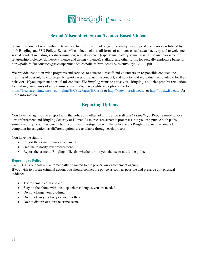

# **Sexual Misconduct, Sexual/Gender Based Violence**

Sexual misconduct is an umbrella term used to refer to a broad range of sexually inappropriate behaviors prohibited by both Ringling and FSU Policy. Sexual Misconduct includes all forms of non-consensual sexual activity and unwelcome sexual conduct including sex discrimination; sexual violence (rape/sexual battery/sexual assault); sexual harassment; relationship violence (domestic violence and dating violence); stalking, and other forms for sexually exploitive behavior. http://policies.fsu.edu/sites/g/files/upcbnu486/files/policies/president/FSU%20Policy% 202-2.pdf

We provide institution-wide programs and services to educate our staff and volunteers on responsible conduct, the meaning of consent, how to properly report cases of sexual misconduct, and how to hold individuals accountable for their behavior. If you experience sexual misconduct, *The Ringling* wants to assist you. Ringling's policies prohibit retaliation for making complaints of sexual misconduct. You have rights and options. Go to

https://fsu.sharepoint.com/sites/ringling/HR/SitePages/HR.aspx or http://knowmore.fsu.edu/ or http://titleix.fsu.edu/ for more information.

# **Reporting Options**

You have the right to file a report with the police and other administrative staff at *The Ringling* . Reports made to local law enforcement and Ringling Security or Human Resources are separate processes, but you can pursue both paths simultaneously. You may pursue both a criminal investigation with the police and a Ringling sexual misconduct complaint investigation, as different options are available through each process.

You have the right to:

- Report the crime to law enforcement
- Decline to notify law enforcement
- Report the crime to Ringling officials, whether or not you choose to notify the police.

# **Reporting to Police**

Call 9•1•1. Your call will automatically be routed to the proper law enforcement agency.

If you wish to pursue criminal action, you should contact the police as soon as possible and preserve any physical evidence.

- Try to remain calm and alert.
- Stay on the phone with the dispatcher as long as you are needed.
- Do not change your clothing.
- Do not clean your body or your clothes.
- Do not disturb or alter the crime scene.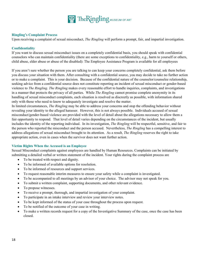

# **Ringling's Complaint Process**

Upon receiving a complaint of sexual misconduct, *The Ringling* will perform a prompt, fair, and impartial investigation.

# **Confidentiality**

If you want to discuss sexual misconduct issues on a completely confidential basis, you should speak with confidential counselors who can maintain confidentiality (there are some exceptions to confidentiality, e.g., harm to yourself or others, child abuse, elder abuse or abuse of the disabled): The Employee Assistance Program is available for all employees

If you aren't sure whether the person you are talking to can keep your concerns completely confidential, ask them before you discuss your situation with them. After consulting with a confidential source, you may decide to take no further action or to make a complaint. This is your decision. Because of the confidential nature of the counselor/counselee relationship, seeking advice from a confidential source does not constitute reporting an incident of sexual misconduct or gender-based violence to *The Ringling*. *The Ringling* makes every reasonable effort to handle inquiries, complaints, and investigations in a manner that protects the privacy of all parties. While *The Ringling* cannot promise complete anonymity in its handling of sexual misconduct complaints, each situation is resolved as discreetly as possible, with information shared only with those who need to know to adequately investigate and resolve the matter.

In limited circumstances, *The Ringling* may be able to address your concerns and stop the offending behavior without revealing your identity to the alleged harasser. However, this is not always possible. Individuals accused of sexual misconduct/gender-based violence are provided with the level of detail about the allegations necessary to allow them a fair opportunity to respond. That level of detail varies depending on the circumstances of the incident, but usually includes the identity of the reporting individual. In its investigation, *The Ringling* will be respectful, sensitive, and fair to the person who reported the misconduct and the person accused. Nevertheless, *The Ringling* has a compelling interest to address allegations of sexual misconduct brought to its attention. As a result, *The Ringling* reserves the right to take appropriate action, even in cases when the survivor does not want further action.

## **Victim Rights When the Accused is an Employee**

Sexual Misconduct complaints against employees are handled by Human Resources. Complaints can be initiated by submitting a detailed verbal or written statement of the incident. Your rights during the complaint process are

- To be treated with respect and dignity.
- To be informed of available options for resolution.
- To be informed of resources and support services.
- To request reasonable interim measures to ensure your safety while a complaint is investigated.
- To be accompanied to all meetings by an advisor of your choice. The advisor may not speak for you.
- To submit a written complaint, supporting documents, and other relevant evidence.
- To propose witnesses.
- To receive a prompt, thorough, and impartial investigation of your complaint.
- To participate in an intake interview and review your interview notes.
- To be kept informed of the status of your case throughout the process upon request.
- To be notified of the outcome of your case in writing.
- To make a written records request for a copy of the Investigative Summary of the case, once the case has been closed.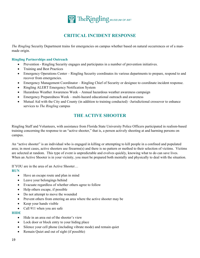

# **CRITICAL INCIDENT RESPONSE**

*The Ringling* Security Department trains for emergencies on campus whether based on natural occurrences or of a manmade origin.

# **Ringling Partnerships and Outreach**

- Prevention Ringling Security engages and participates in a number of prevention initiatives.
- Training and Best Practices
- Emergency Operations Center Ringling Security coordinates its various departments to prepare, respond to and recover from emergencies.
- Emergency Management Coordinator Ringling Chief of Security or designee to coordinate incident response.
- Ringling ALERT Emergency Notification System
- Hazardous Weather Awareness Week Annual hazardous weather awareness campaign
- Emergency Preparedness Week multi-hazard educational outreach and awareness
- Mutual Aid with the City and County (in addition to training conducted) –Jurisdictional crossover to enhance services to *The Ringling* campus

# **THE ACTIVE SHOOTER**

Ringling Staff and Volunteers, with assistance from Florida State University Police Officers participated in realism-based training concerning the response to an "active shooter," that is, a person actively shooting at and harming persons on campus.

An "active shooter" is an individual who is engaged in killing or attempting to kill people in a confined and populated area; in most cases, active shooters use firearms(s) and there is no pattern or method to their selection of victims. Victims are selected at random. This type of event is unpredictable and evolves quickly, knowing what to do can save lives. When an Active Shooter is in your vicinity, you must be prepared both mentally and physically to deal with the situation.

If YOU are in the area of an Active Shooter…

## **RUN**

- Have an escape route and plan in mind
- Leave your belongings behind
- Evacuate regardless of whether others agree to follow
- Help others escape, if possible
- Do not attempt to move the wounded
- Prevent others from entering an area where the active shooter may be
- $\bullet$  Keep your hands visible
- Call 911 when you are safe

## **HIDE**

- Hide in an area out of the shooter's view
- Lock door or block entry to your hiding place
- Silence your cell phone (including vibrate mode) and remain quiet
- Remain Quiet and out of sight (if possible)